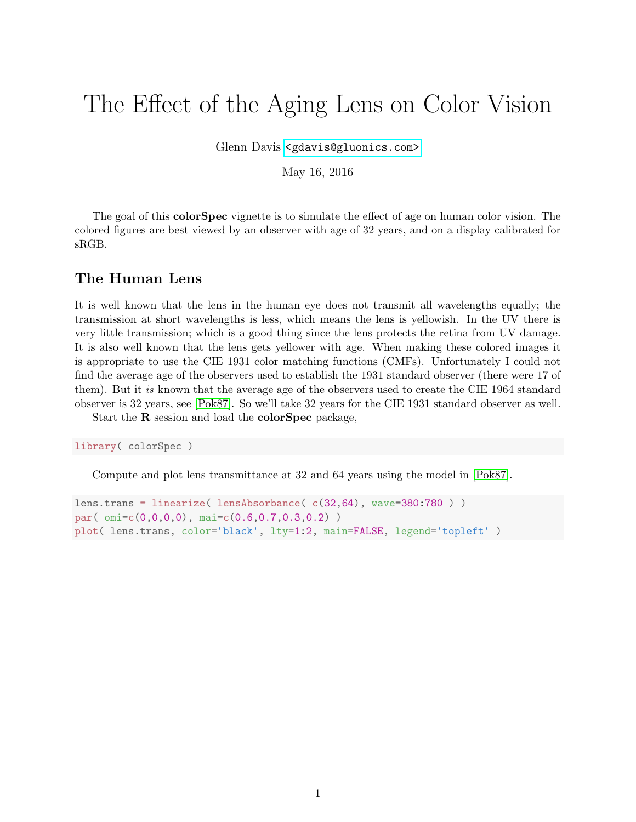# The Effect of the Aging Lens on Color Vision

Glenn Davis [<gdavis@gluonics.com>]( <gdavis@gluonics.com>)

May 16, 2016

The goal of this **colorSpec** vignette is to simulate the effect of age on human color vision. The colored figures are best viewed by an observer with age of 32 years, and on a display calibrated for sRGB.

#### The Human Lens

It is well known that the lens in the human eye does not transmit all wavelengths equally; the transmission at short wavelengths is less, which means the lens is yellowish. In the UV there is very little transmission; which is a good thing since the lens protects the retina from UV damage. It is also well known that the lens gets yellower with age. When making these colored images it is appropriate to use the CIE 1931 color matching functions (CMFs). Unfortunately I could not find the average age of the observers used to establish the 1931 standard observer (there were 17 of them). But it is known that the average age of the observers used to create the CIE 1964 standard observer is 32 years, see [\[Pok87\]](#page-9-0). So we'll take 32 years for the CIE 1931 standard observer as well.

Start the R session and load the colorSpec package,

library( colorSpec )

Compute and plot lens transmittance at 32 and 64 years using the model in [\[Pok87\]](#page-9-0).

```
lens.trans = linearize( lensAbsorbance( c(32,64), wave=380:780 ) )
par( omi=c(0,0,0,0), mai=c(0.6,0.7,0.3,0.2) )
plot( lens.trans, color='black', lty=1:2, main=FALSE, legend='topleft' )
```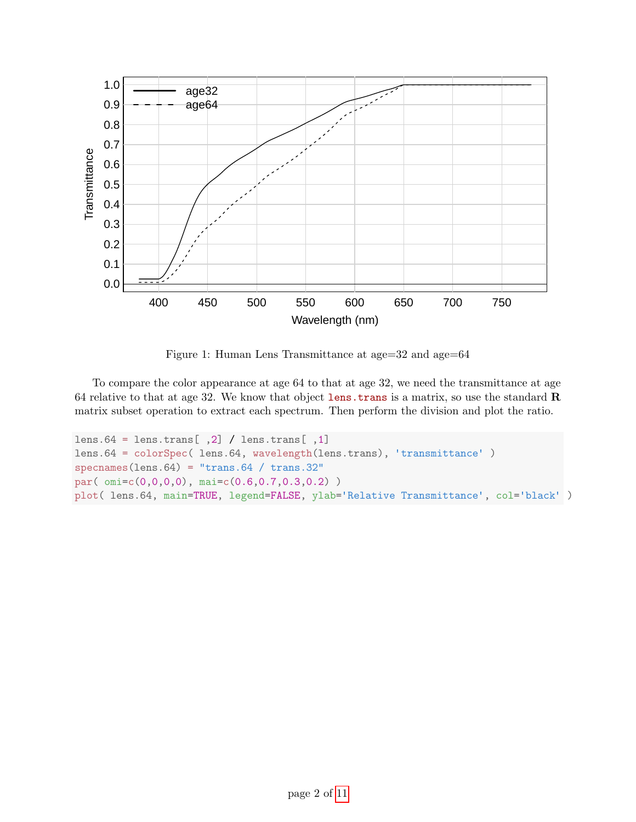

Figure 1: Human Lens Transmittance at age=32 and age=64

To compare the color appearance at age 64 to that at age 32, we need the transmittance at age 64 relative to that at age 32. We know that object lens.trans is a matrix, so use the standard R matrix subset operation to extract each spectrum. Then perform the division and plot the ratio.

```
lens.64 = lens.trans[,2] / lens.trans[,1]
lens.64 = colorSpec( lens.64, wavelength(lens.trans), 'transmittance' )
specnames(lens.64) = "trans.64 / trans.32"
par( omi=c(0,0,0,0), mai=c(0.6,0.7,0.3,0.2) )
plot( lens.64, main=TRUE, legend=FALSE, ylab='Relative Transmittance', col='black' )
```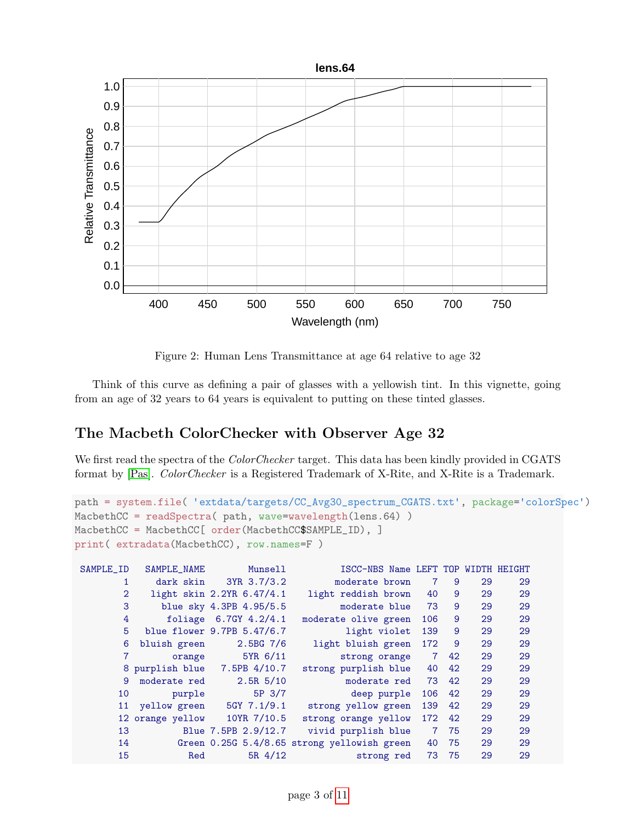

Figure 2: Human Lens Transmittance at age 64 relative to age 32

Think of this curve as defining a pair of glasses with a yellowish tint. In this vignette, going from an age of 32 years to 64 years is equivalent to putting on these tinted glasses.

## The Macbeth ColorChecker with Observer Age 32

We first read the spectra of the *ColorChecker* target. This data has been kindly provided in CGATS format by [\[Pas\]](#page-9-1). ColorChecker is a Registered Trademark of X-Rite, and X-Rite is a Trademark.

```
path = system.file( 'extdata/targets/CC_Avg30_spectrum_CGATS.txt', package='colorSpec')
MacbethCC = readSpectra( path, wave=wavelength(lens.64) )
MacbethCC = MacbethCC[ order(MacbethCC$SAMPLE_ID), ]
print( extradata(MacbethCC), row.names=F )
SAMPLE_ID SAMPLE_NAME Munsell ISCC-NBS Name LEFT TOP WIDTH HEIGHT
      1 dark skin 3YR 3.7/3.2 moderate brown 7 9 29 29
      2 light skin 2.2YR 6.47/4.1 light reddish brown 40 9 29 29
      3 blue sky 4.3PB 4.95/5.5 moderate blue 73 9 29 29
      4 foliage 6.7GY 4.2/4.1 moderate olive green 106 9 29 29
      5 blue flower 9.7PB 5.47/6.7 light violet 139 9 29 29
      6 bluish green 2.5BG 7/6 light bluish green 172 9 29 29
      7 orange 5YR 6/11 strong orange 7 42 29 29
      8 purplish blue 7.5PB 4/10.7 strong purplish blue 40 42 29 29
      9 moderate red 2.5R 5/10 moderate red 73 42 29 29
      10 purple 5P 3/7 deep purple 106 42 29 29
      11 yellow green 5GY 7.1/9.1 strong yellow green 139 42 29 29
      12 orange yellow 10YR 7/10.5 strong orange yellow 172 42 29 29
      13 Blue 7.5PB 2.9/12.7 vivid purplish blue 7 75 29 29
      14 Green 0.25G 5.4/8.65 strong yellowish green 40 75 29 29
```
15 Red 5R 4/12 strong red 73 75 29 29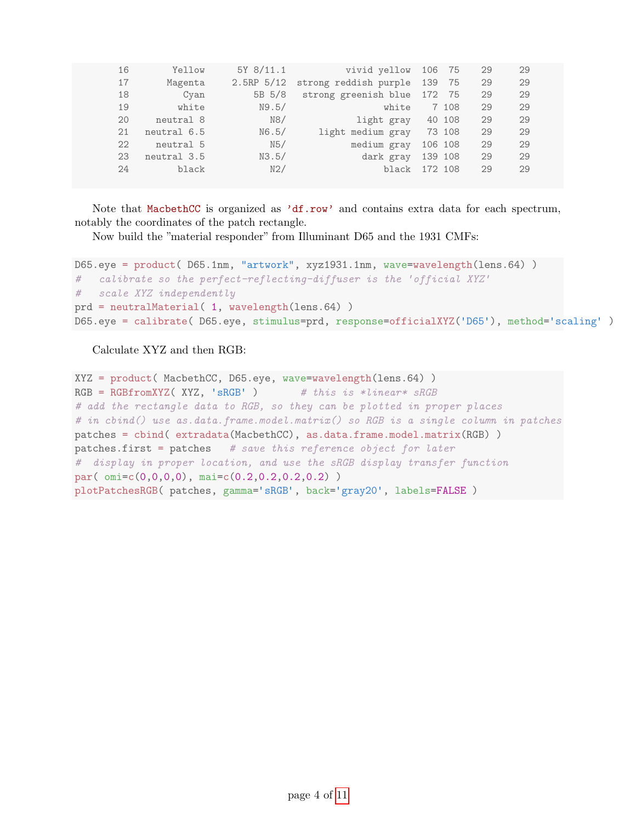| 16 | Yellow      | 5Y 8/11.1    | vivid yellow 106 75         |         |       | 29 | 29 |
|----|-------------|--------------|-----------------------------|---------|-------|----|----|
| 17 | Magenta     | $2.5RP$ 5/12 | strong reddish purple       | 139     | 75    | 29 | 29 |
| 18 | Cyan        | 5B 5/8       | strong greenish blue 172 75 |         |       | 29 | 29 |
| 19 | white       | N9.5/        | white                       |         | 7 108 | 29 | 29 |
| 20 | neutral 8   | N8/          | light gray                  | 40 108  |       | 29 | 29 |
| 21 | neutral 6.5 | N6.5/        | light medium gray           | 73 108  |       | 29 | 29 |
| 22 | neutral 5   | N5/          | medium gray                 | 106 108 |       | 29 | 29 |
| 23 | neutral 3.5 | N3.5/        | dark gray                   | 139 108 |       | 29 | 29 |
| 24 | black       | N2/          | black                       | 172 108 |       | 29 | 29 |
|    |             |              |                             |         |       |    |    |

Note that MacbethCC is organized as 'df.row' and contains extra data for each spectrum, notably the coordinates of the patch rectangle.

Now build the "material responder" from Illuminant D65 and the 1931 CMFs:

```
D65.eye = product( D65.1nm, "artwork", xyz1931.1nm, wave=wavelength(lens.64) )
# calibrate so the perfect-reflecting-diffuser is the 'official XYZ
# scale XYZ independently
prd = neutralMaterial( 1, wavelength(lens.64) )
D65.eye = calibrate( D65.eye, stimulus=prd, response=officialXYZ('D65'), method='scaling' )
```
Calculate XYZ and then RGB:

```
XYZ = product( MacbethCC, D65.eye, wave=wavelength(lens.64) )
RGBFromXYZ(XYZ, 'sRGB') # this is *linear* sRGB# add the rectangle data to RGB, so they can be plotted in proper places
# in cbind() use as.data.frame.model.matrix() so RGB is a single column in patches
patches = cbind( extradata(MacbethCC), as.data.frame.model.matrix(RGB) )
patterns.first = patches # save this reference object for later# display in proper location, and use the sRGB display transfer function
par( omi=c(0,0,0,0), mai=c(0.2,0.2,0.2,0.2) )
plotPatchesRGB( patches, gamma='sRGB', back='gray20', labels=FALSE )
```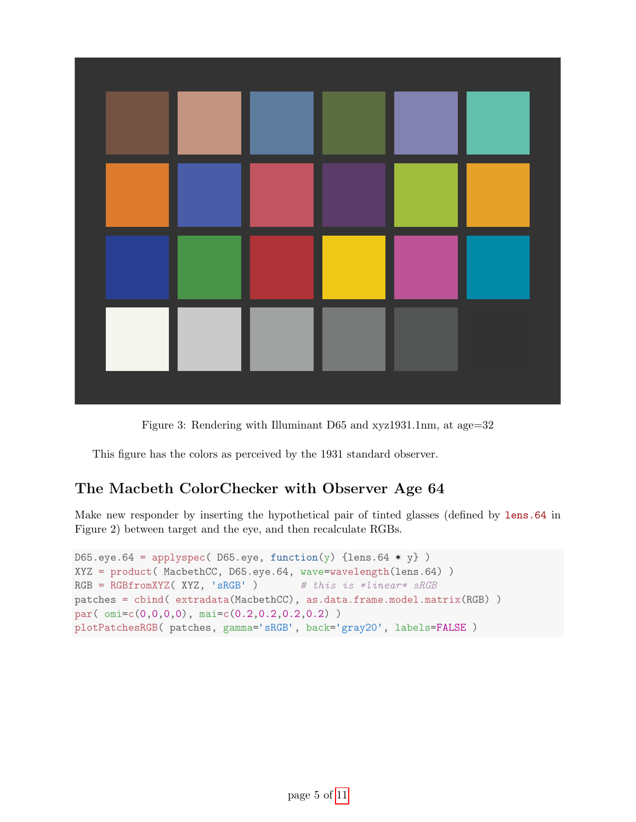

Figure 3: Rendering with Illuminant D65 and xyz1931.1nm, at age=32

This figure has the colors as perceived by the 1931 standard observer.

## The Macbeth ColorChecker with Observer Age 64

Make new responder by inserting the hypothetical pair of tinted glasses (defined by lens.64 in Figure 2) between target and the eye, and then recalculate RGBs.

```
D65.eye.64 = applyspec( D65.eye, function(y) {lens.64 * y})
XYZ = product( MacbethCC, D65.eye.64, wave=wavelength(lens.64) )
RGB = RGBfromXYZ( XYZ, 'sRGB') # this is *linear* sRGBpatches = cbind( extradata(MacbethCC), as.data.frame.model.matrix(RGB) )
par( omi=c(0,0,0,0), mai=c(0.2,0.2,0.2,0.2) )
plotPatchesRGB( patches, gamma='sRGB', back='gray20', labels=FALSE )
```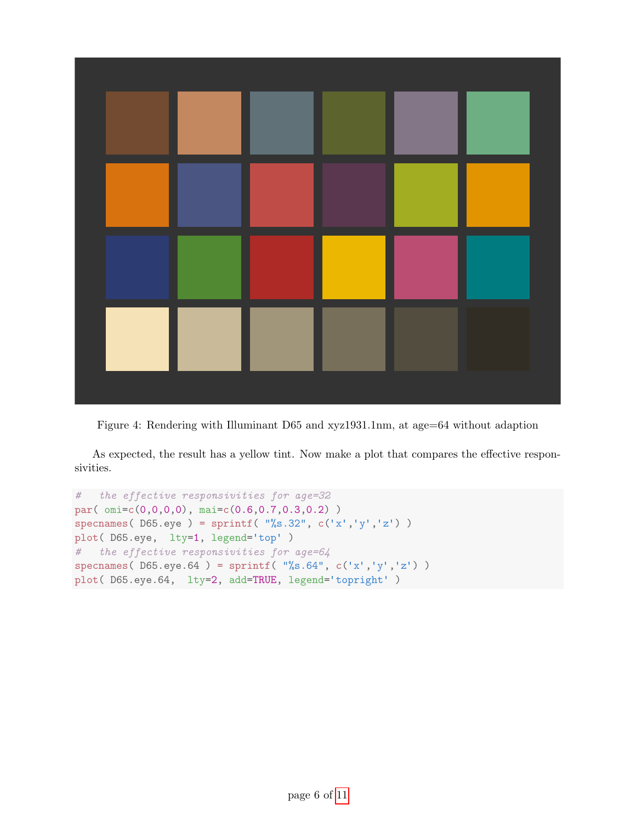

Figure 4: Rendering with Illuminant D65 and xyz1931.1nm, at age=64 without adaption

As expected, the result has a yellow tint. Now make a plot that compares the effective responsivities.

```
# the effective responsivities for age=32
par( omi=c(0,0,0,0), mai=c(0.6,0.7,0.3,0.2) )
specnames( D65.\text{eye} ) = sprintf( "%s.32", c('x', 'y', 'z') )
plot( D65.eye, lty=1, legend='top' )
# the effective responsivities for age=64
specnames( D65.eye.64 ) = sprintf( \sqrt{8}.64", c('x','y','z') )
plot( D65.eye.64, lty=2, add=TRUE, legend='topright' )
```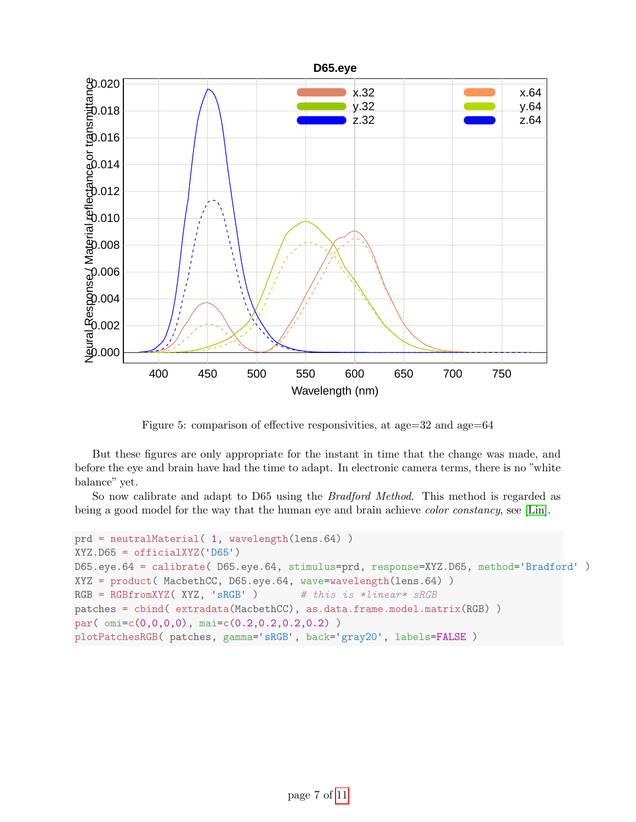

Figure 5: comparison of effective responsivities, at age=32 and age=64

But these figures are only appropriate for the instant in time that the change was made, and before the eye and brain have had the time to adapt. In electronic camera terms, there is no "white balance" yet.

So now calibrate and adapt to D65 using the Bradford Method. This method is regarded as being a good model for the way that the human eye and brain achieve *color constancy*, see [\[Lin\]](#page-9-2).

```
prd = neutralMaterial( 1, wavelength(lens.64) )
XYZ.D65 = officialXYZ('D65')
D65.eye.64 = calibrate( D65.eye.64, stimulus=prd, response=XYZ.D65, method='Bradford' )
XYZ = product( MacbethCC, D65.eye.64, wave=wavelength(lens.64) )
RGBFromXYZ(XYZ, 'sRGB') # this is *linear* sRGBpatches = cbind( extradata(MacbethCC), as.data.frame.model.matrix(RGB) )
par( omi=c(0,0,0,0), mai=c(0.2,0.2,0.2,0.2) )
plotPatchesRGB( patches, gamma='sRGB', back='gray20', labels=FALSE )
```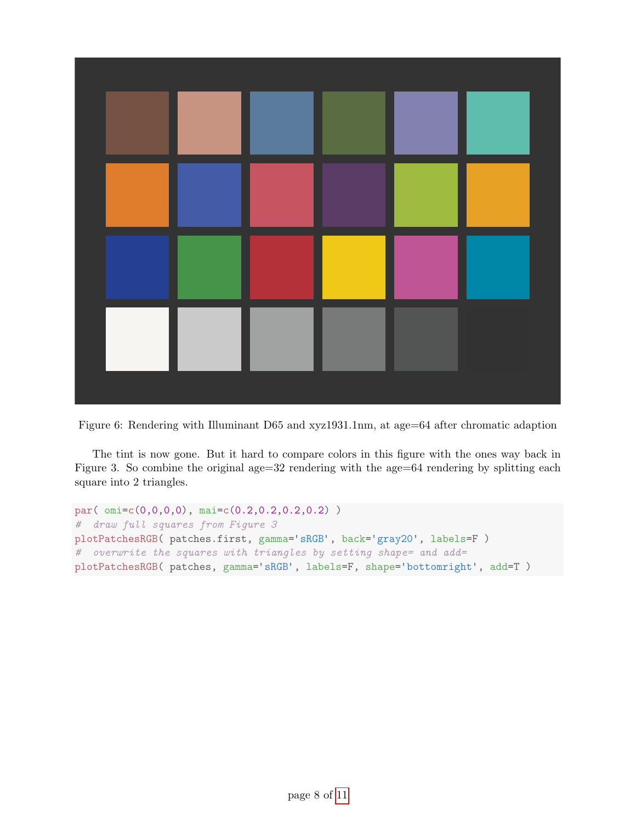

Figure 6: Rendering with Illuminant D65 and xyz1931.1nm, at age=64 after chromatic adaption

The tint is now gone. But it hard to compare colors in this figure with the ones way back in Figure 3. So combine the original age=32 rendering with the age=64 rendering by splitting each square into 2 triangles.

```
par( omi=c(0,0,0,0), mai=c(0.2,0.2,0.2,0.2) )
# draw full squares from Figure 3
plotPatchesRGB( patches.first, gamma='sRGB', back='gray20', labels=F )
# overwrite the squares with triangles by setting shape= and add=
plotPatchesRGB( patches, gamma='sRGB', labels=F, shape='bottomright', add=T )
```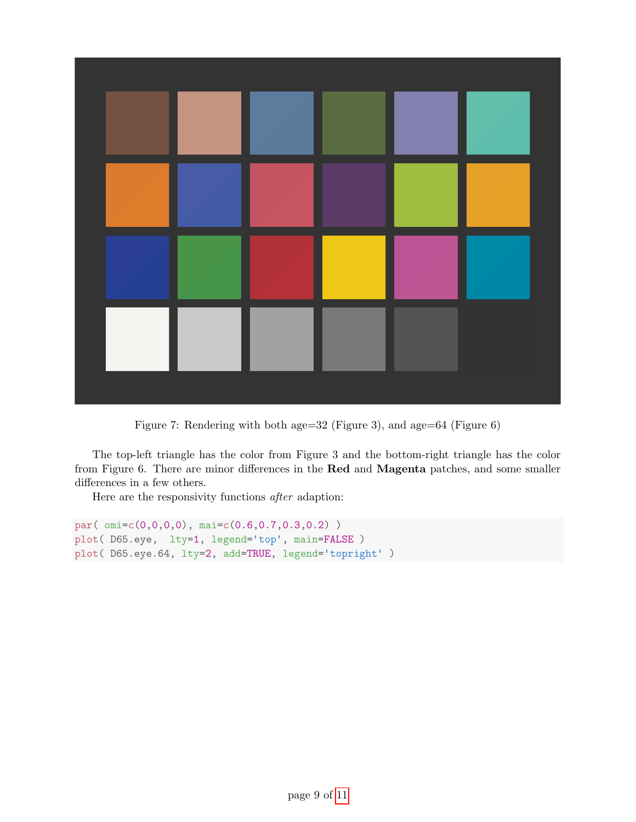

Figure 7: Rendering with both age=32 (Figure 3), and age=64 (Figure 6)

The top-left triangle has the color from Figure 3 and the bottom-right triangle has the color from Figure 6. There are minor differences in the Red and Magenta patches, and some smaller differences in a few others.

Here are the responsivity functions after adaption:

```
par( omi=c(0,0,0,0), mai=c(0.6,0.7,0.3,0.2) )
plot( D65.eye, lty=1, legend='top', main=FALSE )
plot( D65.eye.64, lty=2, add=TRUE, legend='topright' )
```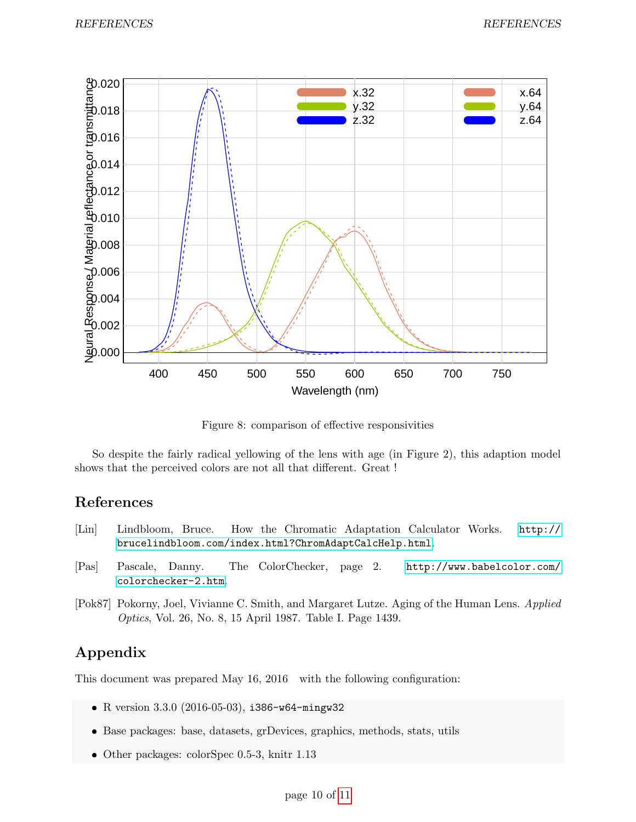

Figure 8: comparison of effective responsivities

So despite the fairly radical yellowing of the lens with age (in Figure 2), this adaption model shows that the perceived colors are not all that different. Great !

#### References

- <span id="page-9-2"></span>[Lin] Lindbloom, Bruce. How the Chromatic Adaptation Calculator Works. [http://](http://brucelindbloom.com/index.html?ChromAdaptCalcHelp.html) [brucelindbloom.com/index.html?ChromAdaptCalcHelp.html](http://brucelindbloom.com/index.html?ChromAdaptCalcHelp.html).
- <span id="page-9-1"></span>[Pas] Pascale, Danny. The ColorChecker, page 2. [http://www.babelcolor.com/](http://www.babelcolor.com/colorchecker-2.htm) [colorchecker-2.htm](http://www.babelcolor.com/colorchecker-2.htm).
- <span id="page-9-0"></span>[Pok87] Pokorny, Joel, Vivianne C. Smith, and Margaret Lutze. Aging of the Human Lens. Applied Optics, Vol. 26, No. 8, 15 April 1987. Table I. Page 1439.

## Appendix

This document was prepared May 16, 2016 with the following configuration:

- R version 3.3.0 (2016-05-03), i386-w64-mingw32
- Base packages: base, datasets, grDevices, graphics, methods, stats, utils
- Other packages: colorSpec 0.5-3, knitr 1.13